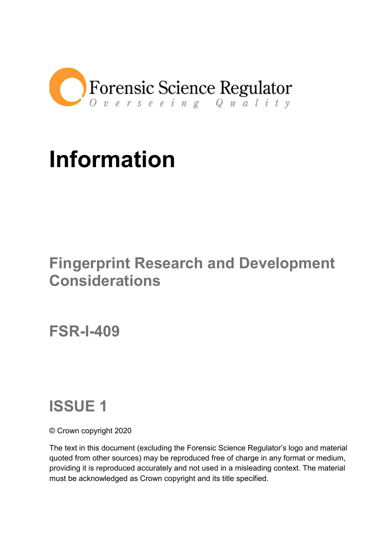

# **Information**

## **Fingerprint Research and Development Considerations**

**FSR-I-409**

## **ISSUE 1**

© Crown copyright 2020

The text in this document (excluding the Forensic Science Regulator's logo and material quoted from other sources) may be reproduced free of charge in any format or medium, providing it is reproduced accurately and not used in a misleading context. The material must be acknowledged as Crown copyright and its title specified.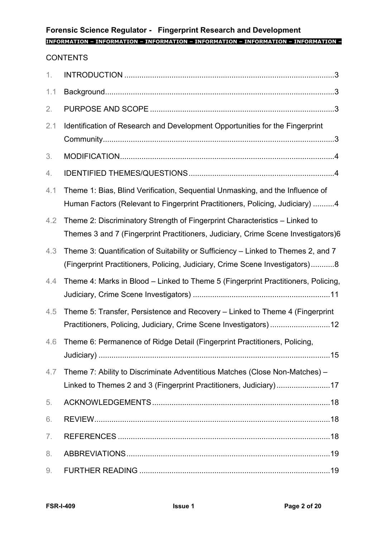## **Forensic Science Regulator - Fingerprint Research and Development**

## **INFORMATION – INFORMATION – INFORMATION – INFORMATION – INFORMATION – INFORMATION –**

## **CONTENTS**

| 1.  |                                                                                                                                                                   |
|-----|-------------------------------------------------------------------------------------------------------------------------------------------------------------------|
| 1.1 |                                                                                                                                                                   |
| 2.  |                                                                                                                                                                   |
| 2.1 | Identification of Research and Development Opportunities for the Fingerprint                                                                                      |
| 3.  |                                                                                                                                                                   |
| 4.  |                                                                                                                                                                   |
| 4.1 | Theme 1: Bias, Blind Verification, Sequential Unmasking, and the Influence of<br>Human Factors (Relevant to Fingerprint Practitioners, Policing, Judiciary) 4     |
| 4.2 | Theme 2: Discriminatory Strength of Fingerprint Characteristics - Linked to<br>Themes 3 and 7 (Fingerprint Practitioners, Judiciary, Crime Scene Investigators)6  |
| 4.3 | Theme 3: Quantification of Suitability or Sufficiency - Linked to Themes 2, and 7<br>(Fingerprint Practitioners, Policing, Judiciary, Crime Scene Investigators)8 |
| 4.4 | Theme 4: Marks in Blood - Linked to Theme 5 (Fingerprint Practitioners, Policing,                                                                                 |
| 4.5 | Theme 5: Transfer, Persistence and Recovery - Linked to Theme 4 (Fingerprint<br>Practitioners, Policing, Judiciary, Crime Scene Investigators)12                  |
| 4.6 | Theme 6: Permanence of Ridge Detail (Fingerprint Practitioners, Policing,                                                                                         |
| 4.7 | Theme 7: Ability to Discriminate Adventitious Matches (Close Non-Matches) -<br>Linked to Themes 2 and 3 (Fingerprint Practitioners, Judiciary)17                  |
| 5.  |                                                                                                                                                                   |
| 6.  |                                                                                                                                                                   |
| 7.  |                                                                                                                                                                   |
| 8.  |                                                                                                                                                                   |
| 9.  |                                                                                                                                                                   |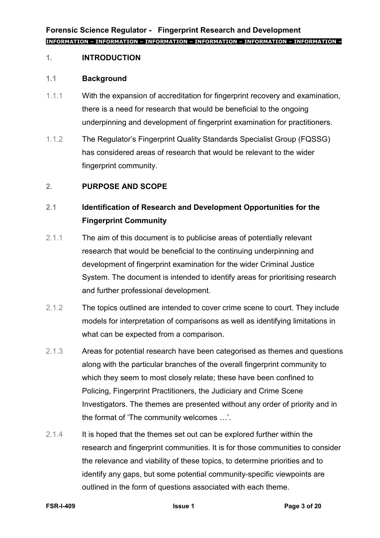## **1. INTRODUCTION**

#### **1.1 Background**

- 1.1.1 With the expansion of accreditation for fingerprint recovery and examination, there is a need for research that would be beneficial to the ongoing underpinning and development of fingerprint examination for practitioners.
- 1.1.2 The Regulator's Fingerprint Quality Standards Specialist Group (FQSSG) has considered areas of research that would be relevant to the wider fingerprint community.

## **2. PURPOSE AND SCOPE**

## **2.1 Identification of Research and Development Opportunities for the Fingerprint Community**

- 2.1.1 The aim of this document is to publicise areas of potentially relevant research that would be beneficial to the continuing underpinning and development of fingerprint examination for the wider Criminal Justice System. The document is intended to identify areas for prioritising research and further professional development.
- 2.1.2 The topics outlined are intended to cover crime scene to court. They include models for interpretation of comparisons as well as identifying limitations in what can be expected from a comparison.
- 2.1.3 Areas for potential research have been categorised as themes and questions along with the particular branches of the overall fingerprint community to which they seem to most closely relate; these have been confined to Policing, Fingerprint Practitioners, the Judiciary and Crime Scene Investigators. The themes are presented without any order of priority and in the format of 'The community welcomes …'.
- 2.1.4 It is hoped that the themes set out can be explored further within the research and fingerprint communities. It is for those communities to consider the relevance and viability of these topics, to determine priorities and to identify any gaps, but some potential community-specific viewpoints are outlined in the form of questions associated with each theme.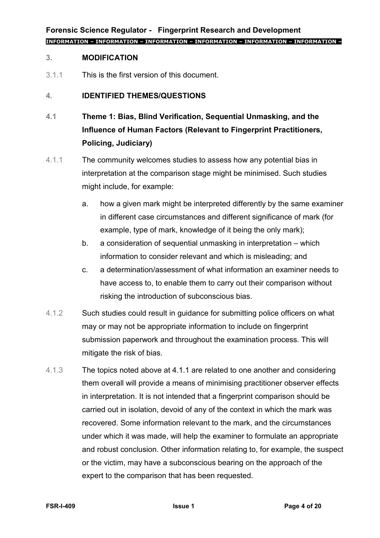#### **3. MODIFICATION**

3.1.1 This is the first version of this document.

#### **4. IDENTIFIED THEMES/QUESTIONS**

- **4.1 Theme 1: Bias, Blind Verification, Sequential Unmasking, and the Influence of Human Factors (Relevant to Fingerprint Practitioners, Policing, Judiciary)**
- <span id="page-3-0"></span>4.1.1 The community welcomes studies to assess how any potential bias in interpretation at the comparison stage might be minimised. Such studies might include, for example:
	- a. how a given mark might be interpreted differently by the same examiner in different case circumstances and different significance of mark (for example, type of mark, knowledge of it being the only mark);
	- b. a consideration of sequential unmasking in interpretation which information to consider relevant and which is misleading; and
	- c. a determination/assessment of what information an examiner needs to have access to, to enable them to carry out their comparison without risking the introduction of subconscious bias.
- 4.1.2 Such studies could result in guidance for submitting police officers on what may or may not be appropriate information to include on fingerprint submission paperwork and throughout the examination process. This will mitigate the risk of bias.
- 4.1.3 The topics noted above at [4.1.1](#page-3-0) are related to one another and considering them overall will provide a means of minimising practitioner observer effects in interpretation. It is not intended that a fingerprint comparison should be carried out in isolation, devoid of any of the context in which the mark was recovered. Some information relevant to the mark, and the circumstances under which it was made, will help the examiner to formulate an appropriate and robust conclusion. Other information relating to, for example, the suspect or the victim, may have a subconscious bearing on the approach of the expert to the comparison that has been requested.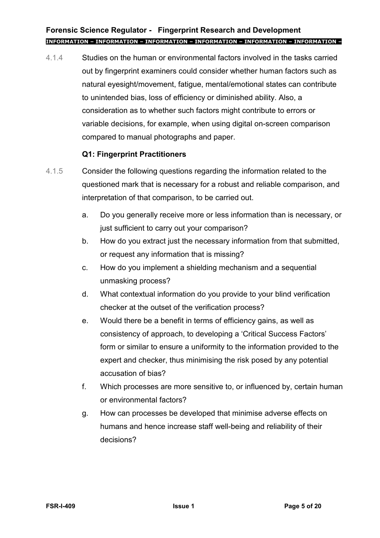4.1.4 Studies on the human or environmental factors involved in the tasks carried out by fingerprint examiners could consider whether human factors such as natural eyesight/movement, fatigue, mental/emotional states can contribute to unintended bias, loss of efficiency or diminished ability. Also, a consideration as to whether such factors might contribute to errors or variable decisions, for example, when using digital on-screen comparison compared to manual photographs and paper.

## **Q1: Fingerprint Practitioners**

- 4.1.5 Consider the following questions regarding the information related to the questioned mark that is necessary for a robust and reliable comparison, and interpretation of that comparison, to be carried out.
	- a. Do you generally receive more or less information than is necessary, or just sufficient to carry out your comparison?
	- b. How do you extract just the necessary information from that submitted, or request any information that is missing?
	- c. How do you implement a shielding mechanism and a sequential unmasking process?
	- d. What contextual information do you provide to your blind verification checker at the outset of the verification process?
	- e. Would there be a benefit in terms of efficiency gains, as well as consistency of approach, to developing a 'Critical Success Factors' form or similar to ensure a uniformity to the information provided to the expert and checker, thus minimising the risk posed by any potential accusation of bias?
	- f. Which processes are more sensitive to, or influenced by, certain human or environmental factors?
	- g. How can processes be developed that minimise adverse effects on humans and hence increase staff well-being and reliability of their decisions?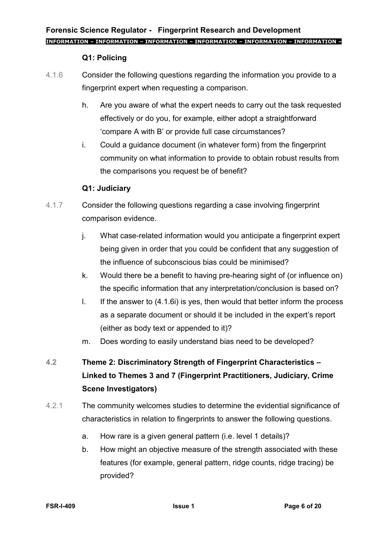## **Q1: Policing**

- 4.1.6 Consider the following questions regarding the information you provide to a fingerprint expert when requesting a comparison.
	- h. Are you aware of what the expert needs to carry out the task requested effectively or do you, for example, either adopt a straightforward 'compare A with B' or provide full case circumstances?
	- i. Could a guidance document (in whatever form) from the fingerprint community on what information to provide to obtain robust results from the comparisons you request be of benefit?

## <span id="page-5-0"></span>**Q1: Judiciary**

- 4.1.7 Consider the following questions regarding a case involving fingerprint comparison evidence.
	- j. What case-related information would you anticipate a fingerprint expert being given in order that you could be confident that any suggestion of the influence of subconscious bias could be minimised?
	- k. Would there be a benefit to having pre-hearing sight of (or influence on) the specific information that any interpretation/conclusion is based on?
	- I. If the answer to  $(4.1.6i)$  is yes, then would that better inform the process as a separate document or should it be included in the expert's report (either as body text or appended to it)?
	- m. Does wording to easily understand bias need to be developed?
- **4.2 Theme 2: Discriminatory Strength of Fingerprint Characteristics – Linked to Themes 3 and 7 (Fingerprint Practitioners, Judiciary, Crime Scene Investigators)**
- 4.2.1 The community welcomes studies to determine the evidential significance of characteristics in relation to fingerprints to answer the following questions.
	- a. How rare is a given general pattern (i.e. level 1 details)?
	- b. How might an objective measure of the strength associated with these features (for example, general pattern, ridge counts, ridge tracing) be provided?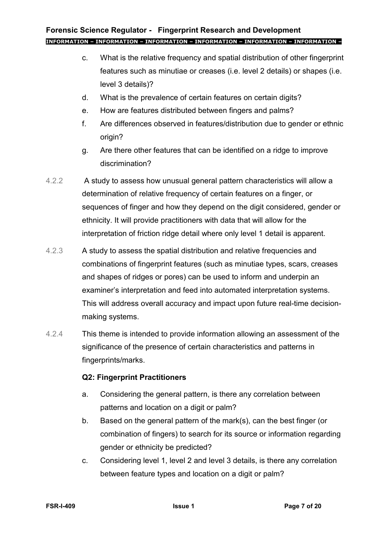- c. What is the relative frequency and spatial distribution of other fingerprint features such as minutiae or creases (i.e. level 2 details) or shapes (i.e. level 3 details)?
- d. What is the prevalence of certain features on certain digits?
- e. How are features distributed between fingers and palms?
- f. Are differences observed in features/distribution due to gender or ethnic origin?
- g. Are there other features that can be identified on a ridge to improve discrimination?
- 4.2.2 A study to assess how unusual general pattern characteristics will allow a determination of relative frequency of certain features on a finger, or sequences of finger and how they depend on the digit considered, gender or ethnicity. It will provide practitioners with data that will allow for the interpretation of friction ridge detail where only level 1 detail is apparent.
- 4.2.3 A study to assess the spatial distribution and relative frequencies and combinations of fingerprint features (such as minutiae types, scars, creases and shapes of ridges or pores) can be used to inform and underpin an examiner's interpretation and feed into automated interpretation systems. This will address overall accuracy and impact upon future real-time decisionmaking systems.
- 4.2.4 This theme is intended to provide information allowing an assessment of the significance of the presence of certain characteristics and patterns in fingerprints/marks.

## **Q2: Fingerprint Practitioners**

- a. Considering the general pattern, is there any correlation between patterns and location on a digit or palm?
- b. Based on the general pattern of the mark(s), can the best finger (or combination of fingers) to search for its source or information regarding gender or ethnicity be predicted?
- c. Considering level 1, level 2 and level 3 details, is there any correlation between feature types and location on a digit or palm?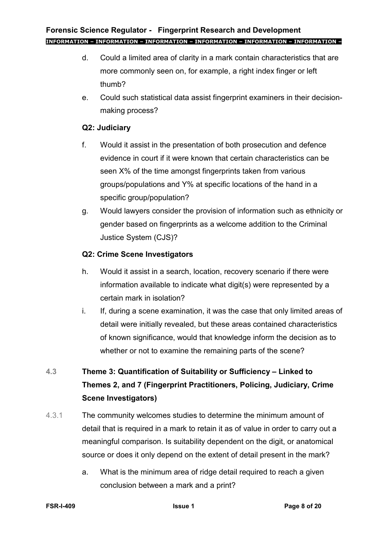- d. Could a limited area of clarity in a mark contain characteristics that are more commonly seen on, for example, a right index finger or left thumb?
- e. Could such statistical data assist fingerprint examiners in their decisionmaking process?

## **Q2: Judiciary**

- f. Would it assist in the presentation of both prosecution and defence evidence in court if it were known that certain characteristics can be seen X% of the time amongst fingerprints taken from various groups/populations and Y% at specific locations of the hand in a specific group/population?
- g. Would lawyers consider the provision of information such as ethnicity or gender based on fingerprints as a welcome addition to the Criminal Justice System (CJS)?

## **Q2: Crime Scene Investigators**

- h. Would it assist in a search, location, recovery scenario if there were information available to indicate what digit(s) were represented by a certain mark in isolation?
- i. If, during a scene examination, it was the case that only limited areas of detail were initially revealed, but these areas contained characteristics of known significance, would that knowledge inform the decision as to whether or not to examine the remaining parts of the scene?

## **4.3 Theme 3: Quantification of Suitability or Sufficiency – Linked to Themes 2, and 7 (Fingerprint Practitioners, Policing, Judiciary, Crime Scene Investigators)**

- 4.3.1 The community welcomes studies to determine the minimum amount of detail that is required in a mark to retain it as of value in order to carry out a meaningful comparison. Is suitability dependent on the digit, or anatomical source or does it only depend on the extent of detail present in the mark?
	- a. What is the minimum area of ridge detail required to reach a given conclusion between a mark and a print?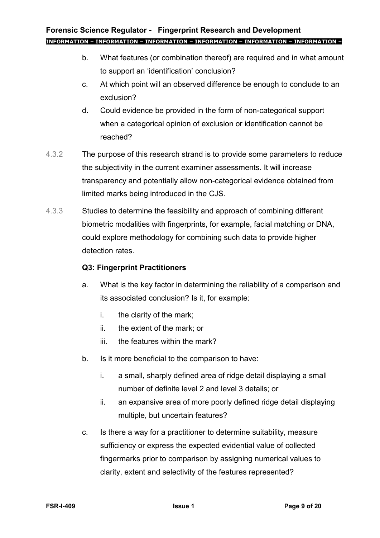- b. What features (or combination thereof) are required and in what amount to support an 'identification' conclusion?
- c. At which point will an observed difference be enough to conclude to an exclusion?
- d. Could evidence be provided in the form of non-categorical support when a categorical opinion of exclusion or identification cannot be reached?
- 4.3.2 The purpose of this research strand is to provide some parameters to reduce the subjectivity in the current examiner assessments. It will increase transparency and potentially allow non-categorical evidence obtained from limited marks being introduced in the CJS.
- 4.3.3 Studies to determine the feasibility and approach of combining different biometric modalities with fingerprints, for example, facial matching or DNA, could explore methodology for combining such data to provide higher detection rates.

## **Q3: Fingerprint Practitioners**

- a. What is the key factor in determining the reliability of a comparison and its associated conclusion? Is it, for example:
	- i. the clarity of the mark;
	- ii. the extent of the mark; or
	- iii. the features within the mark?
- b. Is it more beneficial to the comparison to have:
	- i. a small, sharply defined area of ridge detail displaying a small number of definite level 2 and level 3 details; or
	- ii. an expansive area of more poorly defined ridge detail displaying multiple, but uncertain features?
- c. Is there a way for a practitioner to determine suitability, measure sufficiency or express the expected evidential value of collected fingermarks prior to comparison by assigning numerical values to clarity, extent and selectivity of the features represented?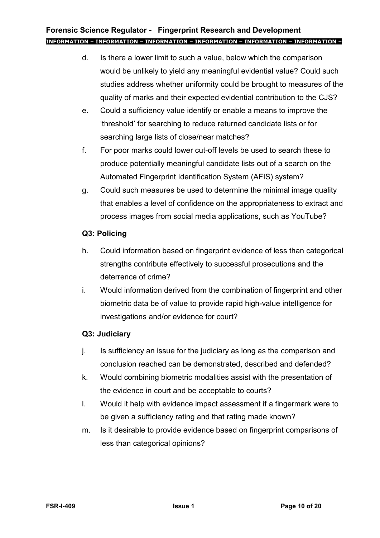- d. Is there a lower limit to such a value, below which the comparison would be unlikely to yield any meaningful evidential value? Could such studies address whether uniformity could be brought to measures of the quality of marks and their expected evidential contribution to the CJS?
- e. Could a sufficiency value identify or enable a means to improve the 'threshold' for searching to reduce returned candidate lists or for searching large lists of close/near matches?
- f. For poor marks could lower cut-off levels be used to search these to produce potentially meaningful candidate lists out of a search on the Automated Fingerprint Identification System (AFIS) system?
- g. Could such measures be used to determine the minimal image quality that enables a level of confidence on the appropriateness to extract and process images from social media applications, such as YouTube?

## **Q3: Policing**

- h. Could information based on fingerprint evidence of less than categorical strengths contribute effectively to successful prosecutions and the deterrence of crime?
- i. Would information derived from the combination of fingerprint and other biometric data be of value to provide rapid high-value intelligence for investigations and/or evidence for court?

## **Q3: Judiciary**

- j. Is sufficiency an issue for the judiciary as long as the comparison and conclusion reached can be demonstrated, described and defended?
- k. Would combining biometric modalities assist with the presentation of the evidence in court and be acceptable to courts?
- l. Would it help with evidence impact assessment if a fingermark were to be given a sufficiency rating and that rating made known?
- m. Is it desirable to provide evidence based on fingerprint comparisons of less than categorical opinions?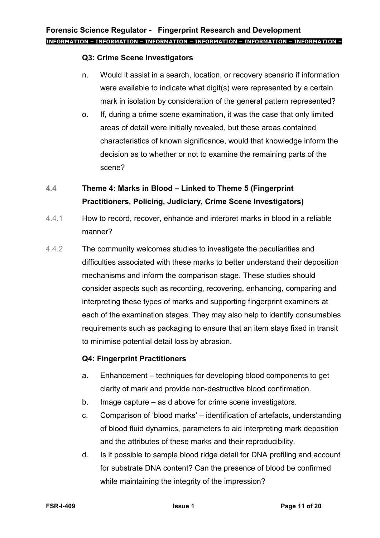## **Q3: Crime Scene Investigators**

- n. Would it assist in a search, location, or recovery scenario if information were available to indicate what digit(s) were represented by a certain mark in isolation by consideration of the general pattern represented?
- o. If, during a crime scene examination, it was the case that only limited areas of detail were initially revealed, but these areas contained characteristics of known significance, would that knowledge inform the decision as to whether or not to examine the remaining parts of the scene?

## **4.4 Theme 4: Marks in Blood – Linked to Theme 5 (Fingerprint Practitioners, Policing, Judiciary, Crime Scene Investigators)**

- 4.4.1 How to record, recover, enhance and interpret marks in blood in a reliable manner?
- 4.4.2 The community welcomes studies to investigate the peculiarities and difficulties associated with these marks to better understand their deposition mechanisms and inform the comparison stage. These studies should consider aspects such as recording, recovering, enhancing, comparing and interpreting these types of marks and supporting fingerprint examiners at each of the examination stages. They may also help to identify consumables requirements such as packaging to ensure that an item stays fixed in transit to minimise potential detail loss by abrasion.

## **Q4: Fingerprint Practitioners**

- <span id="page-10-0"></span>a. Enhancement – techniques for developing blood components to get clarity of mark and provide non-destructive blood confirmation.
- b. Image capture as d above for crime scene investigators.
- <span id="page-10-1"></span>c. Comparison of 'blood marks' – identification of artefacts, understanding of blood fluid dynamics, parameters to aid interpreting mark deposition and the attributes of these marks and their reproducibility.
- <span id="page-10-2"></span>d. Is it possible to sample blood ridge detail for DNA profiling and account for substrate DNA content? Can the presence of blood be confirmed while maintaining the integrity of the impression?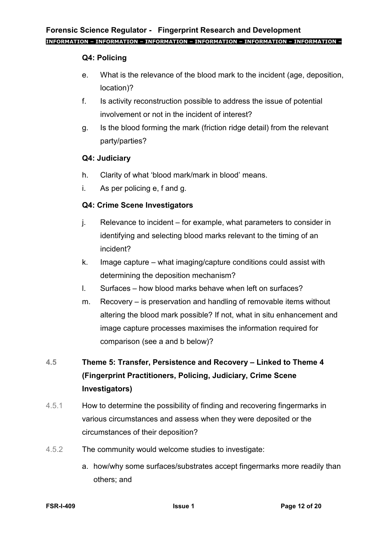## **Q4: Policing**

- <span id="page-11-0"></span>e. What is the relevance of the blood mark to the incident (age, deposition, location)?
- <span id="page-11-1"></span>f. Is activity reconstruction possible to address the issue of potential involvement or not in the incident of interest?
- <span id="page-11-2"></span>g. Is the blood forming the mark (friction ridge detail) from the relevant party/parties?

## **Q4: Judiciary**

- h. Clarity of what 'blood mark/mark in blood' means.
- i. As per policing [e,](#page-11-0) [f](#page-11-1) and [g.](#page-11-2)

## **Q4: Crime Scene Investigators**

- j. Relevance to incident for example, what parameters to consider in identifying and selecting blood marks relevant to the timing of an incident?
- k. Image capture what imaging/capture conditions could assist with determining the deposition mechanism?
- l. Surfaces how blood marks behave when left on surfaces?
- m. Recovery is preservation and handling of removable items without altering the blood mark possible? If not, what in situ enhancement and image capture processes maximises the information required for comparison (see [a](#page-10-0) and [b](#page-12-0) below)?

## **4.5 Theme 5: Transfer, Persistence and Recovery – Linked to Theme 4 (Fingerprint Practitioners, Policing, Judiciary, Crime Scene Investigators)**

- 4.5.1 How to determine the possibility of finding and recovering fingermarks in various circumstances and assess when they were deposited or the circumstances of their deposition?
- 4.5.2 The community would welcome studies to investigate:
	- a. how/why some surfaces/substrates accept fingermarks more readily than others; and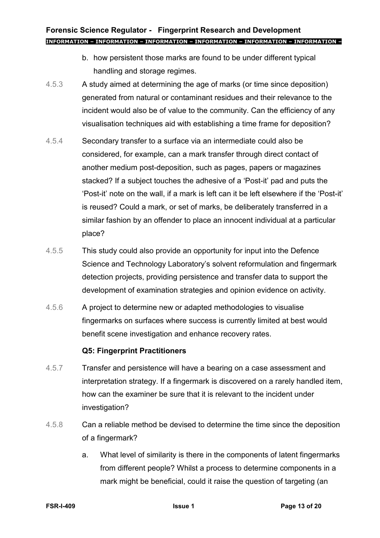- b. how persistent those marks are found to be under different typical handling and storage regimes.
- <span id="page-12-0"></span>4.5.3 A study aimed at determining the age of marks (or time since deposition) generated from natural or contaminant residues and their relevance to the incident would also be of value to the community. Can the efficiency of any visualisation techniques aid with establishing a time frame for deposition?
- 4.5.4 Secondary transfer to a surface via an intermediate could also be considered, for example, can a mark transfer through direct contact of another medium post-deposition, such as pages, papers or magazines stacked? If a subject touches the adhesive of a 'Post-it' pad and puts the 'Post-it' note on the wall, if a mark is left can it be left elsewhere if the 'Post-it' is reused? Could a mark, or set of marks, be deliberately transferred in a similar fashion by an offender to place an innocent individual at a particular place?
- 4.5.5 This study could also provide an opportunity for input into the Defence Science and Technology Laboratory's solvent reformulation and fingermark detection projects, providing persistence and transfer data to support the development of examination strategies and opinion evidence on activity.
- 4.5.6 A project to determine new or adapted methodologies to visualise fingermarks on surfaces where success is currently limited at best would benefit scene investigation and enhance recovery rates.

## **Q5: Fingerprint Practitioners**

- 4.5.7 Transfer and persistence will have a bearing on a case assessment and interpretation strategy. If a fingermark is discovered on a rarely handled item, how can the examiner be sure that it is relevant to the incident under investigation?
- 4.5.8 Can a reliable method be devised to determine the time since the deposition of a fingermark?
	- a. What level of similarity is there in the components of latent fingermarks from different people? Whilst a process to determine components in a mark might be beneficial, could it raise the question of targeting (an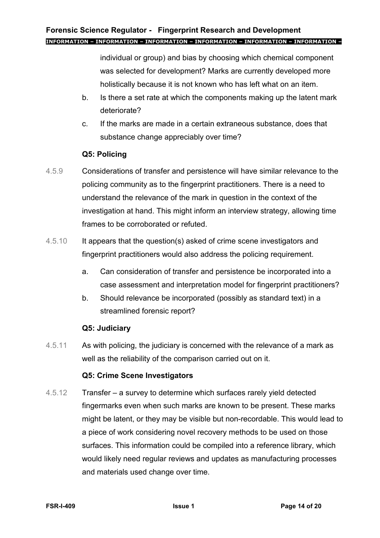individual or group) and bias by choosing which chemical component was selected for development? Marks are currently developed more holistically because it is not known who has left what on an item.

- b. Is there a set rate at which the components making up the latent mark deteriorate?
- c. If the marks are made in a certain extraneous substance, does that substance change appreciably over time?

## **Q5: Policing**

- 4.5.9 Considerations of transfer and persistence will have similar relevance to the policing community as to the fingerprint practitioners. There is a need to understand the relevance of the mark in question in the context of the investigation at hand. This might inform an interview strategy, allowing time frames to be corroborated or refuted.
- 4.5.10 It appears that the question(s) asked of crime scene investigators and fingerprint practitioners would also address the policing requirement.
	- a. Can consideration of transfer and persistence be incorporated into a case assessment and interpretation model for fingerprint practitioners?
	- b. Should relevance be incorporated (possibly as standard text) in a streamlined forensic report?

#### **Q5: Judiciary**

4.5.11 As with policing, the judiciary is concerned with the relevance of a mark as well as the reliability of the comparison carried out on it.

#### **Q5: Crime Scene Investigators**

4.5.12 Transfer – a survey to determine which surfaces rarely yield detected fingermarks even when such marks are known to be present. These marks might be latent, or they may be visible but non-recordable. This would lead to a piece of work considering novel recovery methods to be used on those surfaces. This information could be compiled into a reference library, which would likely need regular reviews and updates as manufacturing processes and materials used change over time.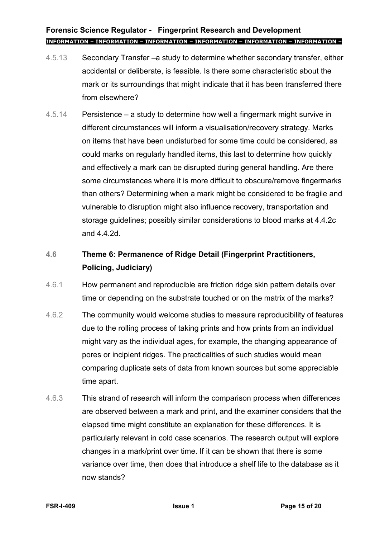- 4.5.13 Secondary Transfer –a study to determine whether secondary transfer, either accidental or deliberate, is feasible. Is there some characteristic about the mark or its surroundings that might indicate that it has been transferred there from elsewhere?
- 4.5.14 Persistence a study to determine how well a fingermark might survive in different circumstances will inform a visualisation/recovery strategy. Marks on items that have been undisturbed for some time could be considered, as could marks on regularly handled items, this last to determine how quickly and effectively a mark can be disrupted during general handling. Are there some circumstances where it is more difficult to obscure/remove fingermarks than others? Determining when a mark might be considered to be fragile and vulnerable to disruption might also influence recovery, transportation and storage guidelines; possibly similar considerations to blood marks at [4.4.2c](#page-10-1) and [4.4.2d.](#page-10-2)

## **4.6 Theme 6: Permanence of Ridge Detail (Fingerprint Practitioners, Policing, Judiciary)**

- 4.6.1 How permanent and reproducible are friction ridge skin pattern details over time or depending on the substrate touched or on the matrix of the marks?
- 4.6.2 The community would welcome studies to measure reproducibility of features due to the rolling process of taking prints and how prints from an individual might vary as the individual ages, for example, the changing appearance of pores or incipient ridges. The practicalities of such studies would mean comparing duplicate sets of data from known sources but some appreciable time apart.
- 4.6.3 This strand of research will inform the comparison process when differences are observed between a mark and print, and the examiner considers that the elapsed time might constitute an explanation for these differences. It is particularly relevant in cold case scenarios. The research output will explore changes in a mark/print over time. If it can be shown that there is some variance over time, then does that introduce a shelf life to the database as it now stands?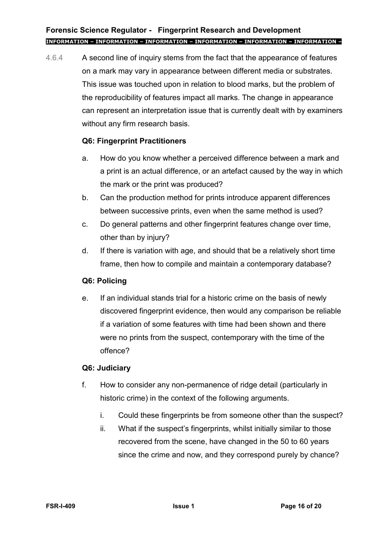4.6.4 A second line of inquiry stems from the fact that the appearance of features on a mark may vary in appearance between different media or substrates. This issue was touched upon in relation to blood marks, but the problem of the reproducibility of features impact all marks. The change in appearance can represent an interpretation issue that is currently dealt with by examiners without any firm research basis.

## **Q6: Fingerprint Practitioners**

- a. How do you know whether a perceived difference between a mark and a print is an actual difference, or an artefact caused by the way in which the mark or the print was produced?
- b. Can the production method for prints introduce apparent differences between successive prints, even when the same method is used?
- c. Do general patterns and other fingerprint features change over time, other than by injury?
- d. If there is variation with age, and should that be a relatively short time frame, then how to compile and maintain a contemporary database?

## **Q6: Policing**

e. If an individual stands trial for a historic crime on the basis of newly discovered fingerprint evidence, then would any comparison be reliable if a variation of some features with time had been shown and there were no prints from the suspect, contemporary with the time of the offence?

## **Q6: Judiciary**

- f. How to consider any non-permanence of ridge detail (particularly in historic crime) in the context of the following arguments.
	- i. Could these fingerprints be from someone other than the suspect?
	- ii. What if the suspect's fingerprints, whilst initially similar to those recovered from the scene, have changed in the 50 to 60 years since the crime and now, and they correspond purely by chance?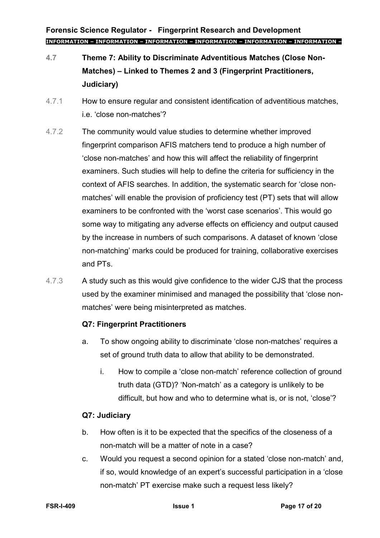- **4.7 Theme 7: Ability to Discriminate Adventitious Matches (Close Non-Matches) – Linked to Themes 2 and 3 (Fingerprint Practitioners, Judiciary)**
- 4.7.1 How to ensure regular and consistent identification of adventitious matches, i.e. 'close non-matches'?
- 4.7.2 The community would value studies to determine whether improved fingerprint comparison AFIS matchers tend to produce a high number of 'close non-matches' and how this will affect the reliability of fingerprint examiners. Such studies will help to define the criteria for sufficiency in the context of AFIS searches. In addition, the systematic search for 'close nonmatches' will enable the provision of proficiency test (PT) sets that will allow examiners to be confronted with the 'worst case scenarios'. This would go some way to mitigating any adverse effects on efficiency and output caused by the increase in numbers of such comparisons. A dataset of known 'close non-matching' marks could be produced for training, collaborative exercises and PTs.
- 4.7.3 A study such as this would give confidence to the wider CJS that the process used by the examiner minimised and managed the possibility that 'close nonmatches' were being misinterpreted as matches.

## **Q7: Fingerprint Practitioners**

- a. To show ongoing ability to discriminate 'close non-matches' requires a set of ground truth data to allow that ability to be demonstrated.
	- i. How to compile a 'close non-match' reference collection of ground truth data (GTD)? 'Non-match' as a category is unlikely to be difficult, but how and who to determine what is, or is not, 'close'?

## **Q7: Judiciary**

- b. How often is it to be expected that the specifics of the closeness of a non-match will be a matter of note in a case?
- c. Would you request a second opinion for a stated 'close non-match' and, if so, would knowledge of an expert's successful participation in a 'close non-match' PT exercise make such a request less likely?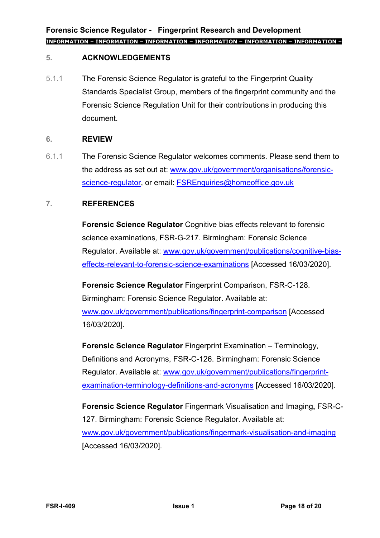## **5. ACKNOWLEDGEMENTS**

5.1.1 The Forensic Science Regulator is grateful to the Fingerprint Quality Standards Specialist Group, members of the fingerprint community and the Forensic Science Regulation Unit for their contributions in producing this document.

## **6. REVIEW**

6.1.1 The Forensic Science Regulator welcomes comments. Please send them to the address as set out at: [www.gov.uk/government/organisations/forensic](http://www.gov.uk/government/organisations/forensic-science-regulator)[science-regulator,](http://www.gov.uk/government/organisations/forensic-science-regulator) or email: [FSREnquiries@homeoffice.gov.uk](mailto:FSREnquiries@homeoffice.gov.uk)

## **7. REFERENCES**

**Forensic Science Regulator** Cognitive bias effects relevant to forensic science examinations*,* FSR-G-217. Birmingham: Forensic Science Regulator. Available at: [www.gov.uk/government/publications/cognitive-bias](http://www.gov.uk/government/publications/cognitive-bias-effects-relevant-to-forensic-science-examinations)[effects-relevant-to-forensic-science-examinations](http://www.gov.uk/government/publications/cognitive-bias-effects-relevant-to-forensic-science-examinations) [Accessed 16/03/2020].

**Forensic Science Regulator** Fingerprint Comparison, FSR-C-128. Birmingham: Forensic Science Regulator. Available at: [www.gov.uk/government/publications/fingerprint-comparison](http://www.gov.uk/government/publications/fingerprint-comparison) [Accessed 16/03/2020].

**Forensic Science Regulator** Fingerprint Examination – Terminology, Definitions and Acronyms, FSR-C-126. Birmingham: Forensic Science Regulator. Available at: [www.gov.uk/government/publications/fingerprint](http://www.gov.uk/government/publications/fingerprint-examination-terminology-definitions-and-acronyms)[examination-terminology-definitions-and-acronyms](http://www.gov.uk/government/publications/fingerprint-examination-terminology-definitions-and-acronyms) [Accessed 16/03/2020].

**Forensic Science Regulator** Fingermark Visualisation and Imaging**,** FSR-C-127. Birmingham: Forensic Science Regulator. Available at: [www.gov.uk/government/publications/fingermark-visualisation-and-imaging](http://www.gov.uk/government/publications/fingermark-visualisation-and-imaging) [Accessed 16/03/2020].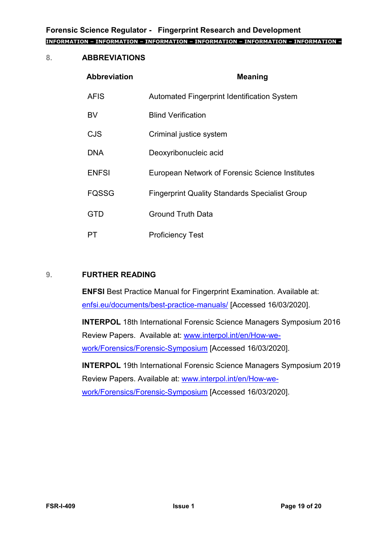## **8. ABBREVIATIONS**

| <b>Abbreviation</b> | <b>Meaning</b>                                        |
|---------------------|-------------------------------------------------------|
| <b>AFIS</b>         | <b>Automated Fingerprint Identification System</b>    |
| BV                  | <b>Blind Verification</b>                             |
| <b>CJS</b>          | Criminal justice system                               |
| <b>DNA</b>          | Deoxyribonucleic acid                                 |
| <b>ENFSI</b>        | European Network of Forensic Science Institutes       |
| <b>FQSSG</b>        | <b>Fingerprint Quality Standards Specialist Group</b> |
| <b>GTD</b>          | <b>Ground Truth Data</b>                              |
| PT                  | <b>Proficiency Test</b>                               |

#### **9. FURTHER READING**

**ENFSI** Best Practice Manual for Fingerprint Examination. Available at: [enfsi.eu/documents/best-practice-manuals/](http://enfsi.eu/documents/best-practice-manuals/) [Accessed 16/03/2020].

**INTERPOL** 18th International Forensic Science Managers Symposium 2016 Review Papers. Available at: [www.interpol.int/en/How-we](http://www.interpol.int/en/How-we-work/Forensics/Forensic-Symposium)[work/Forensics/Forensic-Symposium](http://www.interpol.int/en/How-we-work/Forensics/Forensic-Symposium) [Accessed 16/03/2020].

**INTERPOL** 19th International Forensic Science Managers Symposium 2019 Review Papers. Available at: [www.interpol.int/en/How-we](http://www.interpol.int/en/How-we-work/Forensics/Forensic-Symposium)[work/Forensics/Forensic-Symposium](http://www.interpol.int/en/How-we-work/Forensics/Forensic-Symposium) [Accessed 16/03/2020].